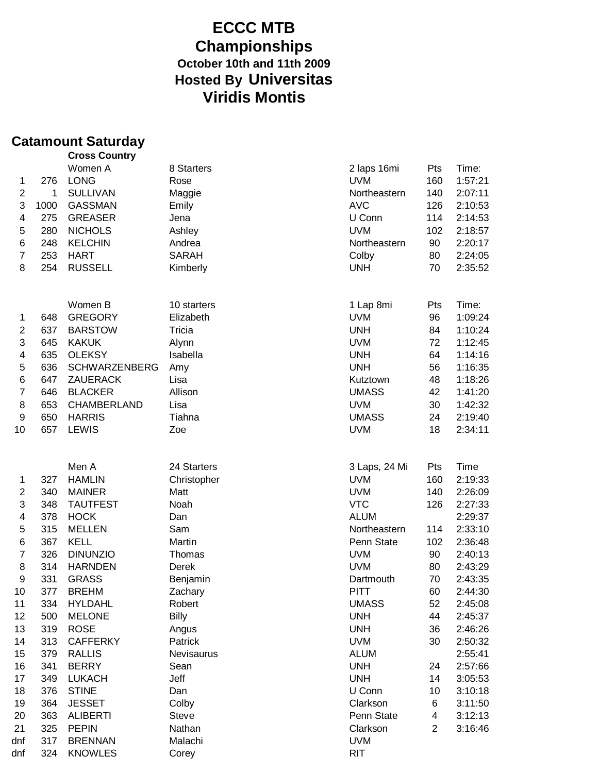## **ECCC MTB Championships October 10th and 11th 2009 Hosted By Universitas Viridis Montis**

### **Catamount Saturday**

| Women A<br>8 Starters<br>Time:<br>2 laps 16mi<br>Pts<br><b>UVM</b><br><b>LONG</b><br>160<br>1:57:21<br>276<br>Rose<br>1<br>$\overline{c}$<br>1<br><b>SULLIVAN</b><br>Northeastern<br>140<br>2:07:11<br>Maggie<br>3<br><b>AVC</b><br>1000<br>GASSMAN<br>126<br>2:10:53<br>Emily<br>U Conn<br>4<br><b>GREASER</b><br>114<br>275<br>Jena<br>2:14:53<br><b>UVM</b><br>5<br>280<br><b>NICHOLS</b><br>Ashley<br>102<br>2:18:57<br>6<br>248<br>Northeastern<br>90<br>2:20:17<br><b>KELCHIN</b><br>Andrea<br>$\overline{7}$<br>253<br><b>HART</b><br><b>SARAH</b><br>Colby<br>80<br>2:24:05<br>8<br><b>UNH</b><br>254<br><b>RUSSELL</b><br>70<br>2:35:52<br>Kimberly<br>Women B<br>Time:<br>10 starters<br>1 Lap 8mi<br>Pts<br><b>GREGORY</b><br><b>UVM</b><br>96<br>1:09:24<br>648<br>Elizabeth<br>1<br>$\overline{2}$<br>637<br><b>BARSTOW</b><br><b>UNH</b><br>84<br>1:10:24<br>Tricia<br>3<br>645<br><b>KAKUK</b><br><b>UVM</b><br>72<br>1:12:45<br>Alynn<br>4<br>635<br>Isabella<br><b>UNH</b><br>64<br>1:14:16<br><b>OLEKSY</b><br>5<br>56<br>636<br><b>SCHWARZENBERG</b><br><b>UNH</b><br>1:16:35<br>Amy<br>$\,6$<br>647<br>ZAUERACK<br>Lisa<br>48<br>1:18:26<br>Kutztown<br>$\overline{7}$<br>Allison<br>646<br><b>BLACKER</b><br><b>UMASS</b><br>42<br>1:41:20<br>8<br>653<br>CHAMBERLAND<br>Lisa<br><b>UVM</b><br>30<br>1:42:32<br>9<br>650<br><b>HARRIS</b><br>Tiahna<br><b>UMASS</b><br>24<br>2:19:40<br>10<br>657<br><b>LEWIS</b><br>Zoe<br><b>UVM</b><br>18<br>2:34:11<br>Men A<br>Time<br>24 Starters<br>3 Laps, 24 Mi<br>Pts<br><b>UVM</b><br><b>HAMLIN</b><br>160<br>2:19:33<br>327<br>Christopher<br>1<br>$\boldsymbol{2}$<br>340<br><b>MAINER</b><br><b>UVM</b><br>140<br>2:26:09<br>Matt<br>3<br><b>VTC</b><br>348<br><b>TAUTFEST</b><br>Noah<br>126<br>2:27:33<br>4<br>378<br><b>HOCK</b><br><b>ALUM</b><br>2:29:37<br>Dan<br>5<br>2:33:10<br>315<br><b>MELLEN</b><br>Sam<br>Northeastern<br>114<br>$\,6$<br>367<br><b>KELL</b><br>Martin<br>102<br>2:36:48<br>Penn State<br>$\overline{7}$<br>326<br><b>DINUNZIO</b><br><b>UVM</b><br>90<br>2:40:13<br>Thomas<br>8<br>314<br><b>HARNDEN</b><br><b>UVM</b><br>80<br>2:43:29<br>Derek<br>9<br>331<br><b>GRASS</b><br>2:43:35<br>Benjamin<br>70<br>Dartmouth<br>10<br>377<br><b>BREHM</b><br>Zachary<br><b>PITT</b><br>60<br>2:44:30<br>52<br>11<br>334<br><b>HYLDAHL</b><br>Robert<br><b>UMASS</b><br>2:45:08<br><b>Billy</b><br>12<br>500<br><b>UNH</b><br>44<br>2:45:37<br><b>MELONE</b><br>13<br>319<br><b>ROSE</b><br><b>UNH</b><br>36<br>2:46:26<br>Angus<br>14<br>313<br><b>CAFFERKY</b><br>Patrick<br><b>UVM</b><br>30<br>2:50:32<br>15<br>379<br><b>RALLIS</b><br><b>ALUM</b><br>2:55:41<br>Nevisaurus<br>16<br><b>BERRY</b><br><b>UNH</b><br>24<br>341<br>Sean<br>2:57:66<br>17<br><b>LUKACH</b><br>Jeff<br><b>UNH</b><br>14<br>3:05:53<br>349<br>18<br>U Conn<br>376<br><b>STINE</b><br>Dan<br>10<br>3:10:18<br>19<br>364<br><b>JESSET</b><br>Colby<br>Clarkson<br>3:11:50<br>6<br>363<br><b>Steve</b><br>20<br><b>ALIBERTI</b><br>Penn State<br>4<br>3:12:13<br>21<br>325<br><b>PEPIN</b><br>Nathan<br>$\overline{2}$<br>3:16:46<br>Clarkson<br>317<br><b>BRENNAN</b><br><b>UVM</b><br>dnf<br>Malachi<br><b>RIT</b><br>324<br><b>KNOWLES</b><br>dnf<br>Corey |  | <b>Cross Country</b> |  |  |
|-------------------------------------------------------------------------------------------------------------------------------------------------------------------------------------------------------------------------------------------------------------------------------------------------------------------------------------------------------------------------------------------------------------------------------------------------------------------------------------------------------------------------------------------------------------------------------------------------------------------------------------------------------------------------------------------------------------------------------------------------------------------------------------------------------------------------------------------------------------------------------------------------------------------------------------------------------------------------------------------------------------------------------------------------------------------------------------------------------------------------------------------------------------------------------------------------------------------------------------------------------------------------------------------------------------------------------------------------------------------------------------------------------------------------------------------------------------------------------------------------------------------------------------------------------------------------------------------------------------------------------------------------------------------------------------------------------------------------------------------------------------------------------------------------------------------------------------------------------------------------------------------------------------------------------------------------------------------------------------------------------------------------------------------------------------------------------------------------------------------------------------------------------------------------------------------------------------------------------------------------------------------------------------------------------------------------------------------------------------------------------------------------------------------------------------------------------------------------------------------------------------------------------------------------------------------------------------------------------------------------------------------------------------------------------------------------------------------------------------------------------------------------------------------------------------------------------------------------------------------------------------------------------------------------------------------------------------------------------------------------------------------------------------------------------------------------------------------------------------------------------------------------------------------------------------------------------------------------------------|--|----------------------|--|--|
|                                                                                                                                                                                                                                                                                                                                                                                                                                                                                                                                                                                                                                                                                                                                                                                                                                                                                                                                                                                                                                                                                                                                                                                                                                                                                                                                                                                                                                                                                                                                                                                                                                                                                                                                                                                                                                                                                                                                                                                                                                                                                                                                                                                                                                                                                                                                                                                                                                                                                                                                                                                                                                                                                                                                                                                                                                                                                                                                                                                                                                                                                                                                                                                                                                     |  |                      |  |  |
|                                                                                                                                                                                                                                                                                                                                                                                                                                                                                                                                                                                                                                                                                                                                                                                                                                                                                                                                                                                                                                                                                                                                                                                                                                                                                                                                                                                                                                                                                                                                                                                                                                                                                                                                                                                                                                                                                                                                                                                                                                                                                                                                                                                                                                                                                                                                                                                                                                                                                                                                                                                                                                                                                                                                                                                                                                                                                                                                                                                                                                                                                                                                                                                                                                     |  |                      |  |  |
|                                                                                                                                                                                                                                                                                                                                                                                                                                                                                                                                                                                                                                                                                                                                                                                                                                                                                                                                                                                                                                                                                                                                                                                                                                                                                                                                                                                                                                                                                                                                                                                                                                                                                                                                                                                                                                                                                                                                                                                                                                                                                                                                                                                                                                                                                                                                                                                                                                                                                                                                                                                                                                                                                                                                                                                                                                                                                                                                                                                                                                                                                                                                                                                                                                     |  |                      |  |  |
|                                                                                                                                                                                                                                                                                                                                                                                                                                                                                                                                                                                                                                                                                                                                                                                                                                                                                                                                                                                                                                                                                                                                                                                                                                                                                                                                                                                                                                                                                                                                                                                                                                                                                                                                                                                                                                                                                                                                                                                                                                                                                                                                                                                                                                                                                                                                                                                                                                                                                                                                                                                                                                                                                                                                                                                                                                                                                                                                                                                                                                                                                                                                                                                                                                     |  |                      |  |  |
|                                                                                                                                                                                                                                                                                                                                                                                                                                                                                                                                                                                                                                                                                                                                                                                                                                                                                                                                                                                                                                                                                                                                                                                                                                                                                                                                                                                                                                                                                                                                                                                                                                                                                                                                                                                                                                                                                                                                                                                                                                                                                                                                                                                                                                                                                                                                                                                                                                                                                                                                                                                                                                                                                                                                                                                                                                                                                                                                                                                                                                                                                                                                                                                                                                     |  |                      |  |  |
|                                                                                                                                                                                                                                                                                                                                                                                                                                                                                                                                                                                                                                                                                                                                                                                                                                                                                                                                                                                                                                                                                                                                                                                                                                                                                                                                                                                                                                                                                                                                                                                                                                                                                                                                                                                                                                                                                                                                                                                                                                                                                                                                                                                                                                                                                                                                                                                                                                                                                                                                                                                                                                                                                                                                                                                                                                                                                                                                                                                                                                                                                                                                                                                                                                     |  |                      |  |  |
|                                                                                                                                                                                                                                                                                                                                                                                                                                                                                                                                                                                                                                                                                                                                                                                                                                                                                                                                                                                                                                                                                                                                                                                                                                                                                                                                                                                                                                                                                                                                                                                                                                                                                                                                                                                                                                                                                                                                                                                                                                                                                                                                                                                                                                                                                                                                                                                                                                                                                                                                                                                                                                                                                                                                                                                                                                                                                                                                                                                                                                                                                                                                                                                                                                     |  |                      |  |  |
|                                                                                                                                                                                                                                                                                                                                                                                                                                                                                                                                                                                                                                                                                                                                                                                                                                                                                                                                                                                                                                                                                                                                                                                                                                                                                                                                                                                                                                                                                                                                                                                                                                                                                                                                                                                                                                                                                                                                                                                                                                                                                                                                                                                                                                                                                                                                                                                                                                                                                                                                                                                                                                                                                                                                                                                                                                                                                                                                                                                                                                                                                                                                                                                                                                     |  |                      |  |  |
|                                                                                                                                                                                                                                                                                                                                                                                                                                                                                                                                                                                                                                                                                                                                                                                                                                                                                                                                                                                                                                                                                                                                                                                                                                                                                                                                                                                                                                                                                                                                                                                                                                                                                                                                                                                                                                                                                                                                                                                                                                                                                                                                                                                                                                                                                                                                                                                                                                                                                                                                                                                                                                                                                                                                                                                                                                                                                                                                                                                                                                                                                                                                                                                                                                     |  |                      |  |  |
|                                                                                                                                                                                                                                                                                                                                                                                                                                                                                                                                                                                                                                                                                                                                                                                                                                                                                                                                                                                                                                                                                                                                                                                                                                                                                                                                                                                                                                                                                                                                                                                                                                                                                                                                                                                                                                                                                                                                                                                                                                                                                                                                                                                                                                                                                                                                                                                                                                                                                                                                                                                                                                                                                                                                                                                                                                                                                                                                                                                                                                                                                                                                                                                                                                     |  |                      |  |  |
|                                                                                                                                                                                                                                                                                                                                                                                                                                                                                                                                                                                                                                                                                                                                                                                                                                                                                                                                                                                                                                                                                                                                                                                                                                                                                                                                                                                                                                                                                                                                                                                                                                                                                                                                                                                                                                                                                                                                                                                                                                                                                                                                                                                                                                                                                                                                                                                                                                                                                                                                                                                                                                                                                                                                                                                                                                                                                                                                                                                                                                                                                                                                                                                                                                     |  |                      |  |  |
|                                                                                                                                                                                                                                                                                                                                                                                                                                                                                                                                                                                                                                                                                                                                                                                                                                                                                                                                                                                                                                                                                                                                                                                                                                                                                                                                                                                                                                                                                                                                                                                                                                                                                                                                                                                                                                                                                                                                                                                                                                                                                                                                                                                                                                                                                                                                                                                                                                                                                                                                                                                                                                                                                                                                                                                                                                                                                                                                                                                                                                                                                                                                                                                                                                     |  |                      |  |  |
|                                                                                                                                                                                                                                                                                                                                                                                                                                                                                                                                                                                                                                                                                                                                                                                                                                                                                                                                                                                                                                                                                                                                                                                                                                                                                                                                                                                                                                                                                                                                                                                                                                                                                                                                                                                                                                                                                                                                                                                                                                                                                                                                                                                                                                                                                                                                                                                                                                                                                                                                                                                                                                                                                                                                                                                                                                                                                                                                                                                                                                                                                                                                                                                                                                     |  |                      |  |  |
|                                                                                                                                                                                                                                                                                                                                                                                                                                                                                                                                                                                                                                                                                                                                                                                                                                                                                                                                                                                                                                                                                                                                                                                                                                                                                                                                                                                                                                                                                                                                                                                                                                                                                                                                                                                                                                                                                                                                                                                                                                                                                                                                                                                                                                                                                                                                                                                                                                                                                                                                                                                                                                                                                                                                                                                                                                                                                                                                                                                                                                                                                                                                                                                                                                     |  |                      |  |  |
|                                                                                                                                                                                                                                                                                                                                                                                                                                                                                                                                                                                                                                                                                                                                                                                                                                                                                                                                                                                                                                                                                                                                                                                                                                                                                                                                                                                                                                                                                                                                                                                                                                                                                                                                                                                                                                                                                                                                                                                                                                                                                                                                                                                                                                                                                                                                                                                                                                                                                                                                                                                                                                                                                                                                                                                                                                                                                                                                                                                                                                                                                                                                                                                                                                     |  |                      |  |  |
|                                                                                                                                                                                                                                                                                                                                                                                                                                                                                                                                                                                                                                                                                                                                                                                                                                                                                                                                                                                                                                                                                                                                                                                                                                                                                                                                                                                                                                                                                                                                                                                                                                                                                                                                                                                                                                                                                                                                                                                                                                                                                                                                                                                                                                                                                                                                                                                                                                                                                                                                                                                                                                                                                                                                                                                                                                                                                                                                                                                                                                                                                                                                                                                                                                     |  |                      |  |  |
|                                                                                                                                                                                                                                                                                                                                                                                                                                                                                                                                                                                                                                                                                                                                                                                                                                                                                                                                                                                                                                                                                                                                                                                                                                                                                                                                                                                                                                                                                                                                                                                                                                                                                                                                                                                                                                                                                                                                                                                                                                                                                                                                                                                                                                                                                                                                                                                                                                                                                                                                                                                                                                                                                                                                                                                                                                                                                                                                                                                                                                                                                                                                                                                                                                     |  |                      |  |  |
|                                                                                                                                                                                                                                                                                                                                                                                                                                                                                                                                                                                                                                                                                                                                                                                                                                                                                                                                                                                                                                                                                                                                                                                                                                                                                                                                                                                                                                                                                                                                                                                                                                                                                                                                                                                                                                                                                                                                                                                                                                                                                                                                                                                                                                                                                                                                                                                                                                                                                                                                                                                                                                                                                                                                                                                                                                                                                                                                                                                                                                                                                                                                                                                                                                     |  |                      |  |  |
|                                                                                                                                                                                                                                                                                                                                                                                                                                                                                                                                                                                                                                                                                                                                                                                                                                                                                                                                                                                                                                                                                                                                                                                                                                                                                                                                                                                                                                                                                                                                                                                                                                                                                                                                                                                                                                                                                                                                                                                                                                                                                                                                                                                                                                                                                                                                                                                                                                                                                                                                                                                                                                                                                                                                                                                                                                                                                                                                                                                                                                                                                                                                                                                                                                     |  |                      |  |  |
|                                                                                                                                                                                                                                                                                                                                                                                                                                                                                                                                                                                                                                                                                                                                                                                                                                                                                                                                                                                                                                                                                                                                                                                                                                                                                                                                                                                                                                                                                                                                                                                                                                                                                                                                                                                                                                                                                                                                                                                                                                                                                                                                                                                                                                                                                                                                                                                                                                                                                                                                                                                                                                                                                                                                                                                                                                                                                                                                                                                                                                                                                                                                                                                                                                     |  |                      |  |  |
|                                                                                                                                                                                                                                                                                                                                                                                                                                                                                                                                                                                                                                                                                                                                                                                                                                                                                                                                                                                                                                                                                                                                                                                                                                                                                                                                                                                                                                                                                                                                                                                                                                                                                                                                                                                                                                                                                                                                                                                                                                                                                                                                                                                                                                                                                                                                                                                                                                                                                                                                                                                                                                                                                                                                                                                                                                                                                                                                                                                                                                                                                                                                                                                                                                     |  |                      |  |  |
|                                                                                                                                                                                                                                                                                                                                                                                                                                                                                                                                                                                                                                                                                                                                                                                                                                                                                                                                                                                                                                                                                                                                                                                                                                                                                                                                                                                                                                                                                                                                                                                                                                                                                                                                                                                                                                                                                                                                                                                                                                                                                                                                                                                                                                                                                                                                                                                                                                                                                                                                                                                                                                                                                                                                                                                                                                                                                                                                                                                                                                                                                                                                                                                                                                     |  |                      |  |  |
|                                                                                                                                                                                                                                                                                                                                                                                                                                                                                                                                                                                                                                                                                                                                                                                                                                                                                                                                                                                                                                                                                                                                                                                                                                                                                                                                                                                                                                                                                                                                                                                                                                                                                                                                                                                                                                                                                                                                                                                                                                                                                                                                                                                                                                                                                                                                                                                                                                                                                                                                                                                                                                                                                                                                                                                                                                                                                                                                                                                                                                                                                                                                                                                                                                     |  |                      |  |  |
|                                                                                                                                                                                                                                                                                                                                                                                                                                                                                                                                                                                                                                                                                                                                                                                                                                                                                                                                                                                                                                                                                                                                                                                                                                                                                                                                                                                                                                                                                                                                                                                                                                                                                                                                                                                                                                                                                                                                                                                                                                                                                                                                                                                                                                                                                                                                                                                                                                                                                                                                                                                                                                                                                                                                                                                                                                                                                                                                                                                                                                                                                                                                                                                                                                     |  |                      |  |  |
|                                                                                                                                                                                                                                                                                                                                                                                                                                                                                                                                                                                                                                                                                                                                                                                                                                                                                                                                                                                                                                                                                                                                                                                                                                                                                                                                                                                                                                                                                                                                                                                                                                                                                                                                                                                                                                                                                                                                                                                                                                                                                                                                                                                                                                                                                                                                                                                                                                                                                                                                                                                                                                                                                                                                                                                                                                                                                                                                                                                                                                                                                                                                                                                                                                     |  |                      |  |  |
|                                                                                                                                                                                                                                                                                                                                                                                                                                                                                                                                                                                                                                                                                                                                                                                                                                                                                                                                                                                                                                                                                                                                                                                                                                                                                                                                                                                                                                                                                                                                                                                                                                                                                                                                                                                                                                                                                                                                                                                                                                                                                                                                                                                                                                                                                                                                                                                                                                                                                                                                                                                                                                                                                                                                                                                                                                                                                                                                                                                                                                                                                                                                                                                                                                     |  |                      |  |  |
|                                                                                                                                                                                                                                                                                                                                                                                                                                                                                                                                                                                                                                                                                                                                                                                                                                                                                                                                                                                                                                                                                                                                                                                                                                                                                                                                                                                                                                                                                                                                                                                                                                                                                                                                                                                                                                                                                                                                                                                                                                                                                                                                                                                                                                                                                                                                                                                                                                                                                                                                                                                                                                                                                                                                                                                                                                                                                                                                                                                                                                                                                                                                                                                                                                     |  |                      |  |  |
|                                                                                                                                                                                                                                                                                                                                                                                                                                                                                                                                                                                                                                                                                                                                                                                                                                                                                                                                                                                                                                                                                                                                                                                                                                                                                                                                                                                                                                                                                                                                                                                                                                                                                                                                                                                                                                                                                                                                                                                                                                                                                                                                                                                                                                                                                                                                                                                                                                                                                                                                                                                                                                                                                                                                                                                                                                                                                                                                                                                                                                                                                                                                                                                                                                     |  |                      |  |  |
|                                                                                                                                                                                                                                                                                                                                                                                                                                                                                                                                                                                                                                                                                                                                                                                                                                                                                                                                                                                                                                                                                                                                                                                                                                                                                                                                                                                                                                                                                                                                                                                                                                                                                                                                                                                                                                                                                                                                                                                                                                                                                                                                                                                                                                                                                                                                                                                                                                                                                                                                                                                                                                                                                                                                                                                                                                                                                                                                                                                                                                                                                                                                                                                                                                     |  |                      |  |  |
|                                                                                                                                                                                                                                                                                                                                                                                                                                                                                                                                                                                                                                                                                                                                                                                                                                                                                                                                                                                                                                                                                                                                                                                                                                                                                                                                                                                                                                                                                                                                                                                                                                                                                                                                                                                                                                                                                                                                                                                                                                                                                                                                                                                                                                                                                                                                                                                                                                                                                                                                                                                                                                                                                                                                                                                                                                                                                                                                                                                                                                                                                                                                                                                                                                     |  |                      |  |  |
|                                                                                                                                                                                                                                                                                                                                                                                                                                                                                                                                                                                                                                                                                                                                                                                                                                                                                                                                                                                                                                                                                                                                                                                                                                                                                                                                                                                                                                                                                                                                                                                                                                                                                                                                                                                                                                                                                                                                                                                                                                                                                                                                                                                                                                                                                                                                                                                                                                                                                                                                                                                                                                                                                                                                                                                                                                                                                                                                                                                                                                                                                                                                                                                                                                     |  |                      |  |  |
|                                                                                                                                                                                                                                                                                                                                                                                                                                                                                                                                                                                                                                                                                                                                                                                                                                                                                                                                                                                                                                                                                                                                                                                                                                                                                                                                                                                                                                                                                                                                                                                                                                                                                                                                                                                                                                                                                                                                                                                                                                                                                                                                                                                                                                                                                                                                                                                                                                                                                                                                                                                                                                                                                                                                                                                                                                                                                                                                                                                                                                                                                                                                                                                                                                     |  |                      |  |  |
|                                                                                                                                                                                                                                                                                                                                                                                                                                                                                                                                                                                                                                                                                                                                                                                                                                                                                                                                                                                                                                                                                                                                                                                                                                                                                                                                                                                                                                                                                                                                                                                                                                                                                                                                                                                                                                                                                                                                                                                                                                                                                                                                                                                                                                                                                                                                                                                                                                                                                                                                                                                                                                                                                                                                                                                                                                                                                                                                                                                                                                                                                                                                                                                                                                     |  |                      |  |  |
|                                                                                                                                                                                                                                                                                                                                                                                                                                                                                                                                                                                                                                                                                                                                                                                                                                                                                                                                                                                                                                                                                                                                                                                                                                                                                                                                                                                                                                                                                                                                                                                                                                                                                                                                                                                                                                                                                                                                                                                                                                                                                                                                                                                                                                                                                                                                                                                                                                                                                                                                                                                                                                                                                                                                                                                                                                                                                                                                                                                                                                                                                                                                                                                                                                     |  |                      |  |  |
|                                                                                                                                                                                                                                                                                                                                                                                                                                                                                                                                                                                                                                                                                                                                                                                                                                                                                                                                                                                                                                                                                                                                                                                                                                                                                                                                                                                                                                                                                                                                                                                                                                                                                                                                                                                                                                                                                                                                                                                                                                                                                                                                                                                                                                                                                                                                                                                                                                                                                                                                                                                                                                                                                                                                                                                                                                                                                                                                                                                                                                                                                                                                                                                                                                     |  |                      |  |  |
|                                                                                                                                                                                                                                                                                                                                                                                                                                                                                                                                                                                                                                                                                                                                                                                                                                                                                                                                                                                                                                                                                                                                                                                                                                                                                                                                                                                                                                                                                                                                                                                                                                                                                                                                                                                                                                                                                                                                                                                                                                                                                                                                                                                                                                                                                                                                                                                                                                                                                                                                                                                                                                                                                                                                                                                                                                                                                                                                                                                                                                                                                                                                                                                                                                     |  |                      |  |  |
|                                                                                                                                                                                                                                                                                                                                                                                                                                                                                                                                                                                                                                                                                                                                                                                                                                                                                                                                                                                                                                                                                                                                                                                                                                                                                                                                                                                                                                                                                                                                                                                                                                                                                                                                                                                                                                                                                                                                                                                                                                                                                                                                                                                                                                                                                                                                                                                                                                                                                                                                                                                                                                                                                                                                                                                                                                                                                                                                                                                                                                                                                                                                                                                                                                     |  |                      |  |  |
|                                                                                                                                                                                                                                                                                                                                                                                                                                                                                                                                                                                                                                                                                                                                                                                                                                                                                                                                                                                                                                                                                                                                                                                                                                                                                                                                                                                                                                                                                                                                                                                                                                                                                                                                                                                                                                                                                                                                                                                                                                                                                                                                                                                                                                                                                                                                                                                                                                                                                                                                                                                                                                                                                                                                                                                                                                                                                                                                                                                                                                                                                                                                                                                                                                     |  |                      |  |  |
|                                                                                                                                                                                                                                                                                                                                                                                                                                                                                                                                                                                                                                                                                                                                                                                                                                                                                                                                                                                                                                                                                                                                                                                                                                                                                                                                                                                                                                                                                                                                                                                                                                                                                                                                                                                                                                                                                                                                                                                                                                                                                                                                                                                                                                                                                                                                                                                                                                                                                                                                                                                                                                                                                                                                                                                                                                                                                                                                                                                                                                                                                                                                                                                                                                     |  |                      |  |  |
|                                                                                                                                                                                                                                                                                                                                                                                                                                                                                                                                                                                                                                                                                                                                                                                                                                                                                                                                                                                                                                                                                                                                                                                                                                                                                                                                                                                                                                                                                                                                                                                                                                                                                                                                                                                                                                                                                                                                                                                                                                                                                                                                                                                                                                                                                                                                                                                                                                                                                                                                                                                                                                                                                                                                                                                                                                                                                                                                                                                                                                                                                                                                                                                                                                     |  |                      |  |  |
|                                                                                                                                                                                                                                                                                                                                                                                                                                                                                                                                                                                                                                                                                                                                                                                                                                                                                                                                                                                                                                                                                                                                                                                                                                                                                                                                                                                                                                                                                                                                                                                                                                                                                                                                                                                                                                                                                                                                                                                                                                                                                                                                                                                                                                                                                                                                                                                                                                                                                                                                                                                                                                                                                                                                                                                                                                                                                                                                                                                                                                                                                                                                                                                                                                     |  |                      |  |  |
|                                                                                                                                                                                                                                                                                                                                                                                                                                                                                                                                                                                                                                                                                                                                                                                                                                                                                                                                                                                                                                                                                                                                                                                                                                                                                                                                                                                                                                                                                                                                                                                                                                                                                                                                                                                                                                                                                                                                                                                                                                                                                                                                                                                                                                                                                                                                                                                                                                                                                                                                                                                                                                                                                                                                                                                                                                                                                                                                                                                                                                                                                                                                                                                                                                     |  |                      |  |  |
|                                                                                                                                                                                                                                                                                                                                                                                                                                                                                                                                                                                                                                                                                                                                                                                                                                                                                                                                                                                                                                                                                                                                                                                                                                                                                                                                                                                                                                                                                                                                                                                                                                                                                                                                                                                                                                                                                                                                                                                                                                                                                                                                                                                                                                                                                                                                                                                                                                                                                                                                                                                                                                                                                                                                                                                                                                                                                                                                                                                                                                                                                                                                                                                                                                     |  |                      |  |  |
|                                                                                                                                                                                                                                                                                                                                                                                                                                                                                                                                                                                                                                                                                                                                                                                                                                                                                                                                                                                                                                                                                                                                                                                                                                                                                                                                                                                                                                                                                                                                                                                                                                                                                                                                                                                                                                                                                                                                                                                                                                                                                                                                                                                                                                                                                                                                                                                                                                                                                                                                                                                                                                                                                                                                                                                                                                                                                                                                                                                                                                                                                                                                                                                                                                     |  |                      |  |  |
|                                                                                                                                                                                                                                                                                                                                                                                                                                                                                                                                                                                                                                                                                                                                                                                                                                                                                                                                                                                                                                                                                                                                                                                                                                                                                                                                                                                                                                                                                                                                                                                                                                                                                                                                                                                                                                                                                                                                                                                                                                                                                                                                                                                                                                                                                                                                                                                                                                                                                                                                                                                                                                                                                                                                                                                                                                                                                                                                                                                                                                                                                                                                                                                                                                     |  |                      |  |  |
|                                                                                                                                                                                                                                                                                                                                                                                                                                                                                                                                                                                                                                                                                                                                                                                                                                                                                                                                                                                                                                                                                                                                                                                                                                                                                                                                                                                                                                                                                                                                                                                                                                                                                                                                                                                                                                                                                                                                                                                                                                                                                                                                                                                                                                                                                                                                                                                                                                                                                                                                                                                                                                                                                                                                                                                                                                                                                                                                                                                                                                                                                                                                                                                                                                     |  |                      |  |  |
|                                                                                                                                                                                                                                                                                                                                                                                                                                                                                                                                                                                                                                                                                                                                                                                                                                                                                                                                                                                                                                                                                                                                                                                                                                                                                                                                                                                                                                                                                                                                                                                                                                                                                                                                                                                                                                                                                                                                                                                                                                                                                                                                                                                                                                                                                                                                                                                                                                                                                                                                                                                                                                                                                                                                                                                                                                                                                                                                                                                                                                                                                                                                                                                                                                     |  |                      |  |  |
|                                                                                                                                                                                                                                                                                                                                                                                                                                                                                                                                                                                                                                                                                                                                                                                                                                                                                                                                                                                                                                                                                                                                                                                                                                                                                                                                                                                                                                                                                                                                                                                                                                                                                                                                                                                                                                                                                                                                                                                                                                                                                                                                                                                                                                                                                                                                                                                                                                                                                                                                                                                                                                                                                                                                                                                                                                                                                                                                                                                                                                                                                                                                                                                                                                     |  |                      |  |  |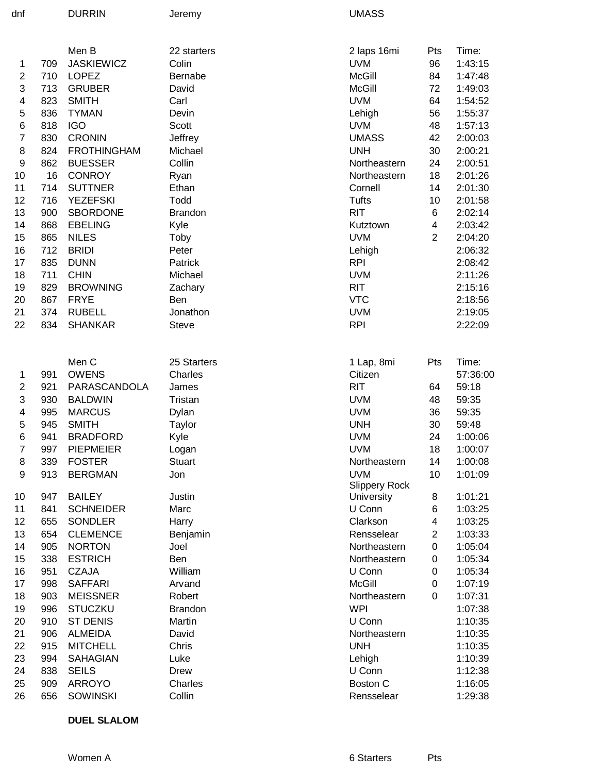| dnf | <b>DURRIN</b> | Jeremy |
|-----|---------------|--------|
|     |               |        |

UMASS

|                |     | Men B              | 22 starters    | 2 laps 16mi          | Pts                     | Time:    |
|----------------|-----|--------------------|----------------|----------------------|-------------------------|----------|
| 1              | 709 | <b>JASKIEWICZ</b>  | Colin          | <b>UVM</b>           | 96                      | 1:43:15  |
| 2              | 710 | <b>LOPEZ</b>       | Bernabe        | <b>McGill</b>        | 84                      | 1:47:48  |
| 3              | 713 | <b>GRUBER</b>      | David          | <b>McGill</b>        | 72                      | 1:49:03  |
| 4              | 823 | <b>SMITH</b>       | Carl           | <b>UVM</b>           | 64                      | 1:54:52  |
| 5              | 836 | <b>TYMAN</b>       | Devin          | Lehigh               | 56                      | 1:55:37  |
| $\,6$          | 818 | <b>IGO</b>         | Scott          | <b>UVM</b>           | 48                      | 1:57:13  |
| $\overline{7}$ | 830 | <b>CRONIN</b>      | Jeffrey        | <b>UMASS</b>         | 42                      | 2:00:03  |
| 8              | 824 | <b>FROTHINGHAM</b> | Michael        | <b>UNH</b>           | 30                      | 2:00:21  |
| 9              | 862 | <b>BUESSER</b>     | Collin         | Northeastern         | 24                      | 2:00:51  |
| 10             | 16  | <b>CONROY</b>      | Ryan           | Northeastern         | 18                      | 2:01:26  |
| 11             | 714 | <b>SUTTNER</b>     | Ethan          | Cornell              | 14                      | 2:01:30  |
| 12             | 716 | <b>YEZEFSKI</b>    | Todd           | <b>Tufts</b>         | 10                      | 2:01:58  |
| 13             | 900 | <b>SBORDONE</b>    | <b>Brandon</b> | <b>RIT</b>           | 6                       | 2:02:14  |
| 14             | 868 | <b>EBELING</b>     | Kyle           | Kutztown             | $\overline{\mathbf{4}}$ | 2:03:42  |
| 15             | 865 | <b>NILES</b>       | Toby           | <b>UVM</b>           | $\overline{2}$          | 2:04:20  |
| 16             | 712 | <b>BRIDI</b>       | Peter          | Lehigh               |                         | 2:06:32  |
| 17             | 835 | <b>DUNN</b>        | Patrick        | <b>RPI</b>           |                         | 2:08:42  |
| 18             | 711 | <b>CHIN</b>        | Michael        | <b>UVM</b>           |                         | 2:11:26  |
| 19             | 829 | <b>BROWNING</b>    | Zachary        | <b>RIT</b>           |                         | 2:15:16  |
| 20             | 867 | <b>FRYE</b>        | Ben            | <b>VTC</b>           |                         | 2:18:56  |
| 21             | 374 | <b>RUBELL</b>      | Jonathon       | <b>UVM</b>           |                         | 2:19:05  |
| 22             | 834 | <b>SHANKAR</b>     | <b>Steve</b>   | <b>RPI</b>           |                         | 2:22:09  |
|                |     |                    |                |                      |                         |          |
|                |     | Men C              | 25 Starters    | 1 Lap, 8mi           | Pts                     | Time:    |
| 1              | 991 | <b>OWENS</b>       | Charles        | Citizen              |                         | 57:36:00 |
| 2              | 921 | PARASCANDOLA       | James          | <b>RIT</b>           | 64                      | 59:18    |
| 3              | 930 | <b>BALDWIN</b>     | Tristan        | <b>UVM</b>           | 48                      | 59:35    |
| 4              | 995 | <b>MARCUS</b>      | Dylan          | <b>UVM</b>           | 36                      | 59:35    |
| 5              | 945 | <b>SMITH</b>       | Taylor         | <b>UNH</b>           | 30                      | 59:48    |
| 6              | 941 | <b>BRADFORD</b>    | Kyle           | <b>UVM</b>           | 24                      | 1:00:06  |
| $\overline{7}$ | 997 | <b>PIEPMEIER</b>   | Logan          | <b>UVM</b>           | 18                      | 1:00:07  |
| 8              | 339 | <b>FOSTER</b>      | <b>Stuart</b>  | Northeastern         | 14                      | 1:00:08  |
| 9              | 913 | <b>BERGMAN</b>     | Jon            | <b>UVM</b>           | 10                      | 1:01:09  |
|                |     |                    |                | <b>Slippery Rock</b> |                         |          |
| 10             | 947 | <b>BAILEY</b>      | Justin         | University           | 8                       | 1:01:21  |
| 11             | 841 | <b>SCHNEIDER</b>   | Marc           | U Conn               | 6                       | 1:03:25  |
| 12             | 655 | <b>SONDLER</b>     | Harry          | Clarkson             | 4                       | 1:03:25  |
| 13             | 654 | <b>CLEMENCE</b>    | Benjamin       | Rensselear           | $\overline{2}$          | 1:03:33  |
| 14             | 905 | <b>NORTON</b>      | Joel           | Northeastern         | 0                       | 1:05:04  |
| 15             | 338 | <b>ESTRICH</b>     | Ben            | Northeastern         | 0                       | 1:05:34  |
| 16             | 951 | <b>CZAJA</b>       | William        | U Conn               | 0                       | 1:05:34  |
| 17             | 998 | <b>SAFFARI</b>     | Arvand         | <b>McGill</b>        | 0                       | 1:07:19  |
| 18             | 903 | <b>MEISSNER</b>    | Robert         | Northeastern         | $\Omega$                | 1:07:31  |
| 19             | 996 | <b>STUCZKU</b>     | <b>Brandon</b> | <b>WPI</b>           |                         | 1:07:38  |
| 20             | 910 | <b>ST DENIS</b>    | Martin         | U Conn               |                         | 1:10:35  |
| 21             | 906 | <b>ALMEIDA</b>     | David          | Northeastern         |                         | 1:10:35  |
| 22             | 915 | <b>MITCHELL</b>    | Chris          | <b>UNH</b>           |                         | 1:10:35  |
| 23             | 994 | <b>SAHAGIAN</b>    | Luke           | Lehigh               |                         | 1:10:39  |
| 24             | 838 | <b>SEILS</b>       | Drew           | U Conn               |                         | 1:12:38  |
| 25             | 909 | <b>ARROYO</b>      | Charles        | <b>Boston C</b>      |                         | 1:16:05  |
| 26             | 656 | <b>SOWINSKI</b>    | Collin         | Rensselear           |                         | 1:29:38  |

**DUEL SLALOM**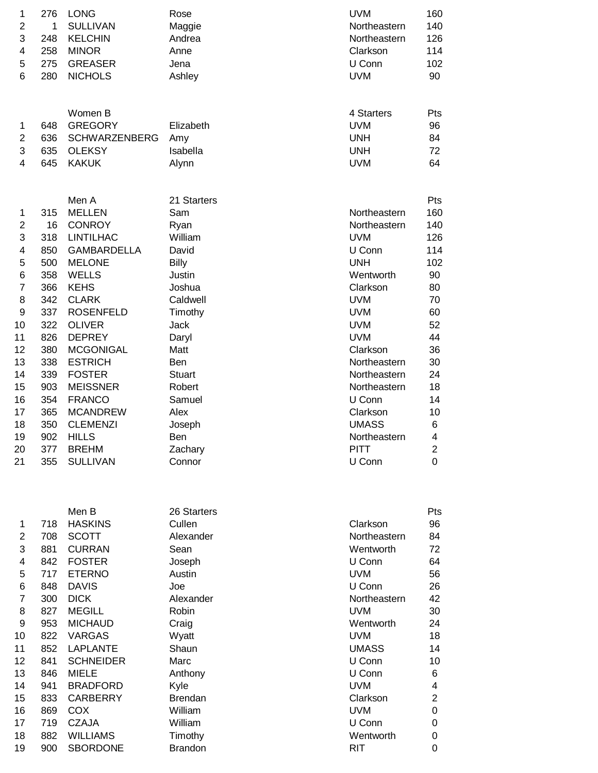| 1                        | 276                      | <b>LONG</b>                                                                        | Rose                                       | <b>UVM</b>                                                         | 160                           |
|--------------------------|--------------------------|------------------------------------------------------------------------------------|--------------------------------------------|--------------------------------------------------------------------|-------------------------------|
| 2                        | 1                        | <b>SULLIVAN</b>                                                                    | Maggie                                     | Northeastern                                                       | 140                           |
| 3                        | 248                      | <b>KELCHIN</b>                                                                     | Andrea                                     | Northeastern                                                       | 126                           |
| 4                        | 258                      | <b>MINOR</b>                                                                       | Anne                                       | Clarkson                                                           | 114                           |
| 5                        | 275                      | <b>GREASER</b>                                                                     | Jena                                       | U Conn                                                             | 102                           |
| 6                        | 280                      | <b>NICHOLS</b>                                                                     | Ashley                                     | <b>UVM</b>                                                         | 90                            |
| 1<br>2<br>3<br>4         | 648<br>636<br>635<br>645 | Women B<br><b>GREGORY</b><br><b>SCHWARZENBERG</b><br><b>OLEKSY</b><br><b>KAKUK</b> | Elizabeth<br>Amy<br>Isabella<br>Alynn      | 4 Starters<br><b>UVM</b><br><b>UNH</b><br><b>UNH</b><br><b>UVM</b> | Pts<br>96<br>84<br>72<br>64   |
|                          |                          | Men A                                                                              | 21 Starters                                |                                                                    | Pts                           |
| 1                        | 315                      | <b>MELLEN</b>                                                                      | Sam                                        | Northeastern                                                       | 160                           |
| $\overline{2}$           | 16                       | <b>CONROY</b>                                                                      | Ryan                                       | Northeastern                                                       | 140                           |
| 3                        | 318                      | <b>LINTILHAC</b>                                                                   | William                                    | <b>UVM</b>                                                         | 126                           |
| 4                        | 850                      | <b>GAMBARDELLA</b>                                                                 | David                                      | U Conn                                                             | 114                           |
| 5                        | 500                      | <b>MELONE</b>                                                                      | <b>Billy</b>                               | <b>UNH</b>                                                         | 102                           |
| 6                        | 358                      | <b>WELLS</b>                                                                       | Justin                                     | Wentworth                                                          | 90                            |
| $\overline{7}$           | 366                      | <b>KEHS</b>                                                                        | Joshua                                     | Clarkson                                                           | 80                            |
| 8                        | 342                      | <b>CLARK</b>                                                                       | Caldwell                                   | <b>UVM</b>                                                         | 70                            |
| 9                        | 337                      | <b>ROSENFELD</b>                                                                   | Timothy                                    | <b>UVM</b>                                                         | 60                            |
| 10                       | 322                      | <b>OLIVER</b>                                                                      | Jack                                       | <b>UVM</b>                                                         | 52                            |
| 11                       | 826                      | <b>DEPREY</b>                                                                      | Daryl                                      | <b>UVM</b>                                                         | 44                            |
| 12                       | 380                      | <b>MCGONIGAL</b>                                                                   | Matt                                       | Clarkson                                                           | 36                            |
| 13                       | 338                      | <b>ESTRICH</b>                                                                     | Ben                                        | Northeastern                                                       | 30                            |
| 14                       | 339                      | <b>FOSTER</b>                                                                      | <b>Stuart</b>                              | Northeastern                                                       | 24                            |
| 15                       | 903                      | <b>MEISSNER</b>                                                                    | Robert                                     | Northeastern                                                       | 18                            |
| 16                       | 354                      | <b>FRANCO</b>                                                                      | Samuel                                     | U Conn                                                             | 14                            |
| 17                       | 365                      | <b>MCANDREW</b>                                                                    | Alex                                       | Clarkson                                                           | 10                            |
| 18<br>19<br>20           | 350<br>902<br>377        | <b>CLEMENZI</b><br><b>HILLS</b><br><b>BREHM</b>                                    | Joseph<br>Ben<br>Zachary                   | <b>UMASS</b><br>Northeastern<br><b>PITT</b>                        | 6<br>4<br>$\overline{2}$<br>0 |
| 21                       | 355                      | <b>SULLIVAN</b>                                                                    | Connor                                     | U Conn                                                             |                               |
| 1<br>$\overline{2}$<br>3 | 718<br>708<br>881        | Men B<br><b>HASKINS</b><br><b>SCOTT</b><br><b>CURRAN</b>                           | 26 Starters<br>Cullen<br>Alexander<br>Sean | Clarkson<br>Northeastern<br>Wentworth                              | Pts<br>96<br>84<br>72         |
| 4                        | 842                      | <b>FOSTER</b>                                                                      | Joseph                                     | U Conn                                                             | 64                            |
| 5                        | 717                      | <b>ETERNO</b>                                                                      | Austin                                     | <b>UVM</b>                                                         | 56                            |
| 6                        | 848                      | <b>DAVIS</b>                                                                       | Joe                                        | U Conn                                                             | 26                            |
| $\overline{7}$           | 300                      | <b>DICK</b>                                                                        | Alexander                                  | Northeastern                                                       | 42                            |
| 8                        | 827                      | <b>MEGILL</b>                                                                      | Robin                                      | <b>UVM</b>                                                         | 30                            |
| 9                        | 953                      | <b>MICHAUD</b>                                                                     | Craig                                      | Wentworth                                                          | 24                            |
| 10                       | 822                      | <b>VARGAS</b>                                                                      | Wyatt                                      | <b>UVM</b>                                                         | 18                            |
| 11                       | 852                      | <b>LAPLANTE</b>                                                                    | Shaun                                      | <b>UMASS</b>                                                       | 14                            |
| 12                       | 841                      | <b>SCHNEIDER</b>                                                                   | Marc                                       | U Conn                                                             | 10                            |
| 13                       | 846                      | <b>MIELE</b>                                                                       | Anthony                                    | U Conn                                                             | 6                             |
| 14                       | 941                      | <b>BRADFORD</b>                                                                    | Kyle                                       | <b>UVM</b>                                                         | 4                             |
| 15                       | 833                      | <b>CARBERRY</b>                                                                    | <b>Brendan</b>                             | Clarkson                                                           | $\overline{2}$                |
| 16                       | 869                      | COX                                                                                | William                                    | <b>UVM</b>                                                         | 0                             |
| 17                       | 719                      | <b>CZAJA</b>                                                                       | William                                    | U Conn                                                             | 0                             |
| 18                       | 882                      | <b>WILLIAMS</b>                                                                    | Timothy                                    | Wentworth                                                          | 0                             |

19 900 SBORDONE Brandon RIT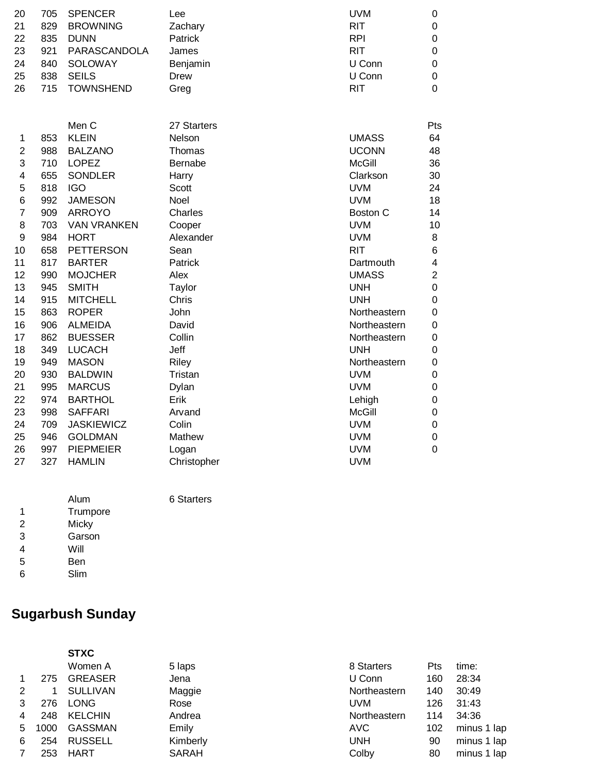| 20 | 705 | <b>SPENCER</b>  | Lee      | <b>UVM</b> | $\Omega$ |
|----|-----|-----------------|----------|------------|----------|
| 21 | 829 | <b>BROWNING</b> | Zachary  | <b>RIT</b> | $\Omega$ |
| 22 | 835 | <b>DUNN</b>     | Patrick  | <b>RPI</b> | $\Omega$ |
| 23 | 921 | PARASCANDOLA    | James    | <b>RIT</b> | $\Omega$ |
| 24 | 840 | SOLOWAY         | Benjamin | U Conn     | 0        |
| 25 | 838 | <b>SEILS</b>    | Drew     | U Conn     | $\Omega$ |
| 26 |     | 715 TOWNSHEND   | Greg     | <b>RIT</b> | 0        |
|    |     |                 |          |            |          |

|                |     | Men C              | 27 Starters    |               | Pts            |
|----------------|-----|--------------------|----------------|---------------|----------------|
| 1              | 853 | <b>KLEIN</b>       | Nelson         | <b>UMASS</b>  | 64             |
| 2              | 988 | <b>BALZANO</b>     | Thomas         | <b>UCONN</b>  | 48             |
| 3              | 710 | <b>LOPEZ</b>       | <b>Bernabe</b> | McGill        | 36             |
| 4              | 655 | <b>SONDLER</b>     | Harry          | Clarkson      | 30             |
| 5              | 818 | <b>IGO</b>         | Scott          | <b>UVM</b>    | 24             |
| 6              | 992 | <b>JAMESON</b>     | Noel           | <b>UVM</b>    | 18             |
| $\overline{7}$ | 909 | <b>ARROYO</b>      | Charles        | Boston C      | 14             |
| 8              | 703 | <b>VAN VRANKEN</b> | Cooper         | <b>UVM</b>    | 10             |
| 9              | 984 | <b>HORT</b>        | Alexander      | <b>UVM</b>    | 8              |
| 10             | 658 | <b>PETTERSON</b>   | Sean           | <b>RIT</b>    | 6              |
| 11             | 817 | <b>BARTER</b>      | Patrick        | Dartmouth     | 4              |
| 12             | 990 | <b>MOJCHER</b>     | Alex           | <b>UMASS</b>  | $\overline{2}$ |
| 13             | 945 | <b>SMITH</b>       | Taylor         | <b>UNH</b>    | 0              |
| 14             | 915 | <b>MITCHELL</b>    | Chris          | <b>UNH</b>    | 0              |
| 15             | 863 | <b>ROPER</b>       | John           | Northeastern  | 0              |
| 16             | 906 | <b>ALMEIDA</b>     | David          | Northeastern  | 0              |
| 17             | 862 | <b>BUESSER</b>     | Collin         | Northeastern  | 0              |
| 18             | 349 | <b>LUCACH</b>      | Jeff           | <b>UNH</b>    | 0              |
| 19             | 949 | <b>MASON</b>       | Riley          | Northeastern  | 0              |
| 20             | 930 | <b>BALDWIN</b>     | Tristan        | <b>UVM</b>    | 0              |
| 21             | 995 | <b>MARCUS</b>      | Dylan          | <b>UVM</b>    | 0              |
| 22             | 974 | <b>BARTHOL</b>     | Erik           | Lehigh        | 0              |
| 23             | 998 | <b>SAFFARI</b>     | Arvand         | <b>McGill</b> | 0              |
| 24             | 709 | <b>JASKIEWICZ</b>  | Colin          | <b>UVM</b>    | 0              |
| 25             | 946 | <b>GOLDMAN</b>     | Mathew         | <b>UVM</b>    | 0              |
| 26             | 997 | <b>PIEPMEIER</b>   | Logan          | <b>UVM</b>    | 0              |
| 27             | 327 | <b>HAMLIN</b>      | Christopher    | <b>UVM</b>    |                |

|   | Alum     |
|---|----------|
| 1 | Trumpore |
| 2 | Micky    |
| 3 | Garson   |
| 4 | Will     |
| 5 | Ben      |
| 6 | Slim     |

**Sugarbush Sunday**

7 253 HART SARAH

# **6 Starters**

#### **STXC** Women A 5 laps 1 275 GREASER Jena 2 1 SULLIVAN Maggie 3 276 LONG Rose 4 248 KELCHIN Andrea 5 1000 GASSMAN Emily 6 254 RUSSELL Kimberly

| 8 Starters   | Pts | time:       |
|--------------|-----|-------------|
| U Conn       | 160 | 28:34       |
| Northeastern | 140 | 30:49       |
| UVM          | 126 | 31:43       |
| Northeastern | 114 | 34:36       |
| AVC          | 102 | minus 1 lap |
| UNH          | 90  | minus 1 lap |
| Colby        | 80  | minus 1 lap |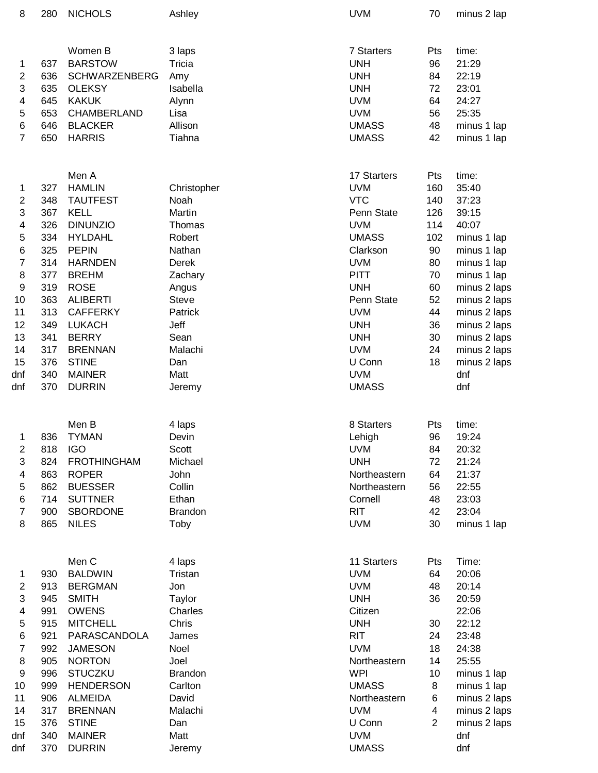| 8                       | 280 | <b>NICHOLS</b>          | Ashley            | <b>UVM</b>                | 70             | minus 2 lap    |
|-------------------------|-----|-------------------------|-------------------|---------------------------|----------------|----------------|
|                         |     |                         |                   |                           |                |                |
|                         |     | Women B                 | 3 laps            | 7 Starters                | Pts            | time:          |
| 1                       | 637 | <b>BARSTOW</b>          | Tricia            | <b>UNH</b>                | 96             | 21:29          |
| $\boldsymbol{2}$        | 636 | <b>SCHWARZENBERG</b>    | Amy               | <b>UNH</b>                | 84             | 22:19          |
| 3                       | 635 | <b>OLEKSY</b>           | Isabella          | <b>UNH</b>                | 72             | 23:01          |
| 4                       | 645 | <b>KAKUK</b>            | Alynn             | <b>UVM</b>                | 64             | 24:27          |
| 5                       | 653 | CHAMBERLAND             | Lisa              | <b>UVM</b>                | 56             | 25:35          |
| 6                       | 646 | <b>BLACKER</b>          | Allison           | <b>UMASS</b>              | 48             | minus 1 lap    |
| $\overline{7}$          | 650 | <b>HARRIS</b>           | Tiahna            | <b>UMASS</b>              | 42             | minus 1 lap    |
|                         |     | Men A                   |                   | 17 Starters               | Pts            | time:          |
| 1                       | 327 | <b>HAMLIN</b>           | Christopher       | <b>UVM</b>                | 160            | 35:40          |
| $\boldsymbol{2}$        | 348 | <b>TAUTFEST</b>         | Noah              | <b>VTC</b>                | 140            | 37:23          |
| 3                       | 367 | <b>KELL</b>             | Martin            | Penn State                | 126            | 39:15          |
| 4                       | 326 | <b>DINUNZIO</b>         | Thomas            | <b>UVM</b>                | 114            | 40:07          |
| 5                       | 334 | <b>HYLDAHL</b>          | Robert            | <b>UMASS</b>              | 102            | minus 1 lap    |
| 6                       | 325 | <b>PEPIN</b>            | Nathan            | Clarkson                  | 90             | minus 1 lap    |
| $\overline{\mathbf{7}}$ | 314 | <b>HARNDEN</b>          | Derek             | <b>UVM</b>                | 80             | minus 1 lap    |
| 8                       | 377 | <b>BREHM</b>            | Zachary           | <b>PITT</b>               | 70             | minus 1 lap    |
| 9                       | 319 | <b>ROSE</b>             | Angus             | <b>UNH</b>                | 60             | minus 2 laps   |
| 10                      | 363 | <b>ALIBERTI</b>         | <b>Steve</b>      | Penn State                | 52             | minus 2 laps   |
| 11                      | 313 | <b>CAFFERKY</b>         | Patrick           | <b>UVM</b>                | 44             | minus 2 laps   |
| 12                      | 349 | <b>LUKACH</b>           | Jeff              | <b>UNH</b>                | 36             | minus 2 laps   |
| 13                      | 341 | <b>BERRY</b>            | Sean              | <b>UNH</b>                | 30             | minus 2 laps   |
| 14                      | 317 | <b>BRENNAN</b>          | Malachi           | <b>UVM</b>                | 24             | minus 2 laps   |
| 15                      | 376 | <b>STINE</b>            | Dan               | U Conn                    | 18             | minus 2 laps   |
| dnf                     | 340 | <b>MAINER</b>           | Matt              | <b>UVM</b>                |                | dnf            |
| dnf                     | 370 | <b>DURRIN</b>           | Jeremy            | <b>UMASS</b>              |                | dnf            |
|                         |     |                         |                   |                           |                |                |
|                         |     | Men B                   | 4 laps            | 8 Starters                | Pts            | time:          |
| 1                       | 836 | <b>TYMAN</b>            | Devin             | Lehigh                    | 96             | 19:24          |
| $\overline{\mathbf{c}}$ | 818 | <b>IGO</b>              | Scott             | <b>UVM</b>                | 84             | 20:32          |
| 3                       | 824 | <b>FROTHINGHAM</b>      | Michael           | <b>UNH</b>                | 72             | 21:24          |
| 4                       | 863 | <b>ROPER</b>            | John              | Northeastern              | 64             | 21:37          |
| 5                       | 862 | <b>BUESSER</b>          | Collin            | Northeastern              | 56             | 22:55          |
| 6                       | 714 | <b>SUTTNER</b>          | Ethan             | Cornell                   | 48             | 23:03          |
| $\overline{7}$          | 900 | <b>SBORDONE</b>         | <b>Brandon</b>    | <b>RIT</b>                | 42             | 23:04          |
| 8                       | 865 | <b>NILES</b>            | Toby              | <b>UVM</b>                | 30             | minus 1 lap    |
|                         |     |                         |                   |                           |                |                |
|                         | 930 | Men C<br><b>BALDWIN</b> | 4 laps<br>Tristan | 11 Starters<br><b>UVM</b> | Pts<br>64      | Time:<br>20:06 |
| 1                       |     |                         |                   |                           |                |                |
| $\overline{c}$<br>3     | 913 | <b>BERGMAN</b>          | Jon               | <b>UVM</b>                | 48             | 20:14          |
|                         | 945 | <b>SMITH</b>            | Taylor            | <b>UNH</b>                | 36             | 20:59          |
| 4                       | 991 | <b>OWENS</b>            | Charles           | Citizen                   |                | 22:06          |
| 5                       | 915 | <b>MITCHELL</b>         | Chris             | <b>UNH</b>                | 30             | 22:12          |
| 6                       | 921 | PARASCANDOLA            | James             | <b>RIT</b>                | 24             | 23:48          |
| $\overline{7}$          | 992 | <b>JAMESON</b>          | Noel              | <b>UVM</b>                | 18             | 24:38          |
| $\bf 8$                 | 905 | <b>NORTON</b>           | Joel              | Northeastern              | 14             | 25:55          |
| $\boldsymbol{9}$        | 996 | <b>STUCZKU</b>          | <b>Brandon</b>    | <b>WPI</b>                | 10             | minus 1 lap    |
| 10                      | 999 | <b>HENDERSON</b>        | Carlton           | <b>UMASS</b>              | 8              | minus 1 lap    |
| 11                      | 906 | <b>ALMEIDA</b>          | David             | Northeastern              | 6              | minus 2 laps   |
| 14                      | 317 | <b>BRENNAN</b>          | Malachi           | <b>UVM</b>                | 4              | minus 2 laps   |
| 15                      | 376 | <b>STINE</b>            | Dan               | U Conn                    | $\overline{2}$ | minus 2 laps   |
| dnf                     | 340 | <b>MAINER</b>           | Matt              | <b>UVM</b>                |                | dnf            |
| dnf                     | 370 | <b>DURRIN</b>           | Jeremy            | <b>UMASS</b>              |                | dnf            |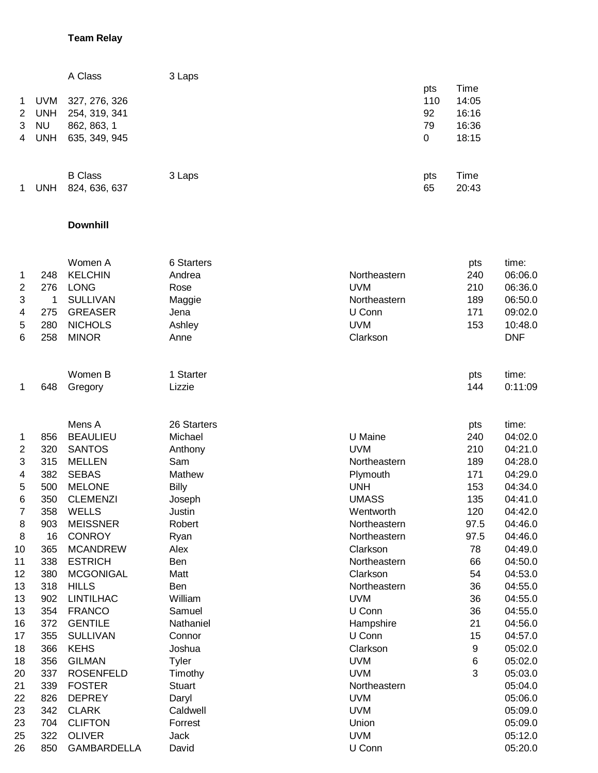#### **Team Relay**

|    |            | A Class        | 3 Laps |     |       |
|----|------------|----------------|--------|-----|-------|
|    |            |                |        | pts | Time  |
| 1. | <b>UVM</b> | 327, 276, 326  |        | 110 | 14:05 |
| 2  | <b>UNH</b> | 254, 319, 341  |        | 92  | 16:16 |
| 3  | <b>NU</b>  | 862, 863, 1    |        | 79  | 16:36 |
| 4  | <b>UNH</b> | 635, 349, 945  |        | 0   | 18:15 |
|    |            |                |        |     |       |
|    |            |                |        |     |       |
|    |            | <b>B</b> Class | 3 Laps | pts | Time  |
|    | <b>UNH</b> | 824, 636, 637  |        | 65  | 20:43 |
|    |            |                |        |     |       |

#### **Downhill**

| <b>KELCHIN</b><br>Andrea<br>240<br>248<br>Northeastern<br>1<br>2<br>276<br><b>LONG</b><br><b>UVM</b><br>210<br>Rose<br>3<br>$\mathbf 1$<br><b>SULLIVAN</b><br>Northeastern<br>189<br>Maggie<br>171<br>4<br>275<br><b>GREASER</b><br>U Conn<br>Jena<br>5<br>280<br><b>UVM</b><br>153<br><b>NICHOLS</b><br>Ashley<br>6<br>258<br>Clarkson<br><b>MINOR</b><br>Anne<br>Women B<br>1 Starter<br>pts<br>Gregory<br>Lizzie<br>144<br>648<br>1<br>Mens A<br>26 Starters<br>pts<br><b>BEAULIEU</b><br>U Maine<br>Michael<br>240<br>856<br>1<br>$\overline{2}$<br>320<br><b>UVM</b><br><b>SANTOS</b><br>210<br>Anthony<br>3<br>315<br><b>MELLEN</b><br>Sam<br>189<br>Northeastern<br>4<br>382<br><b>SEBAS</b><br>Mathew<br>171<br>Plymouth<br>5<br>500<br><b>MELONE</b><br><b>Billy</b><br><b>UNH</b><br>153<br>6<br>350<br><b>CLEMENZI</b><br><b>UMASS</b><br>135<br>Joseph<br>7<br>358<br><b>WELLS</b><br>Wentworth<br>120<br>Justin<br>8<br>903<br><b>MEISSNER</b><br>97.5<br>Robert<br>Northeastern<br>8<br>16<br><b>CONROY</b><br>97.5<br>Northeastern<br>Ryan<br>365<br><b>MCANDREW</b><br>Alex<br>Clarkson<br>78<br>10<br>338<br>66<br><b>ESTRICH</b><br>Ben<br>Northeastern<br>11<br>380<br><b>MCGONIGAL</b><br>54<br>12<br>Matt<br>Clarkson<br>36<br>13<br>318<br><b>HILLS</b><br>Ben<br>Northeastern<br>902<br><b>LINTILHAC</b><br>William<br><b>UVM</b><br>36<br>13<br>354<br>36<br>13<br><b>FRANCO</b><br>Samuel<br>U Conn<br>372<br>21<br>16<br><b>GENTILE</b><br>Nathaniel<br>Hampshire<br>355<br>15<br>17<br><b>SULLIVAN</b><br>Connor<br>U Conn<br>9<br>366<br><b>KEHS</b><br>Clarkson<br>18<br>Joshua<br>6<br>356<br><b>GILMAN</b><br><b>UVM</b><br>18<br>Tyler<br>3<br>337<br><b>UVM</b><br>20<br><b>ROSENFELD</b><br>Timothy<br>21<br>339<br><b>FOSTER</b><br><b>Stuart</b><br>Northeastern<br>826<br>22<br><b>DEPREY</b><br><b>UVM</b><br>Daryl<br>23<br>342<br><b>CLARK</b><br>Caldwell<br><b>UVM</b><br>23<br>704<br><b>CLIFTON</b><br>Forrest<br>Union |  | Women A | 6 Starters | pts | time:      |
|---------------------------------------------------------------------------------------------------------------------------------------------------------------------------------------------------------------------------------------------------------------------------------------------------------------------------------------------------------------------------------------------------------------------------------------------------------------------------------------------------------------------------------------------------------------------------------------------------------------------------------------------------------------------------------------------------------------------------------------------------------------------------------------------------------------------------------------------------------------------------------------------------------------------------------------------------------------------------------------------------------------------------------------------------------------------------------------------------------------------------------------------------------------------------------------------------------------------------------------------------------------------------------------------------------------------------------------------------------------------------------------------------------------------------------------------------------------------------------------------------------------------------------------------------------------------------------------------------------------------------------------------------------------------------------------------------------------------------------------------------------------------------------------------------------------------------------------------------------------------------------------------------------------------------------------------------------------------|--|---------|------------|-----|------------|
|                                                                                                                                                                                                                                                                                                                                                                                                                                                                                                                                                                                                                                                                                                                                                                                                                                                                                                                                                                                                                                                                                                                                                                                                                                                                                                                                                                                                                                                                                                                                                                                                                                                                                                                                                                                                                                                                                                                                                                     |  |         |            |     | 06:06.0    |
|                                                                                                                                                                                                                                                                                                                                                                                                                                                                                                                                                                                                                                                                                                                                                                                                                                                                                                                                                                                                                                                                                                                                                                                                                                                                                                                                                                                                                                                                                                                                                                                                                                                                                                                                                                                                                                                                                                                                                                     |  |         |            |     | 06:36.0    |
|                                                                                                                                                                                                                                                                                                                                                                                                                                                                                                                                                                                                                                                                                                                                                                                                                                                                                                                                                                                                                                                                                                                                                                                                                                                                                                                                                                                                                                                                                                                                                                                                                                                                                                                                                                                                                                                                                                                                                                     |  |         |            |     | 06:50.0    |
|                                                                                                                                                                                                                                                                                                                                                                                                                                                                                                                                                                                                                                                                                                                                                                                                                                                                                                                                                                                                                                                                                                                                                                                                                                                                                                                                                                                                                                                                                                                                                                                                                                                                                                                                                                                                                                                                                                                                                                     |  |         |            |     | 09:02.0    |
|                                                                                                                                                                                                                                                                                                                                                                                                                                                                                                                                                                                                                                                                                                                                                                                                                                                                                                                                                                                                                                                                                                                                                                                                                                                                                                                                                                                                                                                                                                                                                                                                                                                                                                                                                                                                                                                                                                                                                                     |  |         |            |     | 10:48.0    |
|                                                                                                                                                                                                                                                                                                                                                                                                                                                                                                                                                                                                                                                                                                                                                                                                                                                                                                                                                                                                                                                                                                                                                                                                                                                                                                                                                                                                                                                                                                                                                                                                                                                                                                                                                                                                                                                                                                                                                                     |  |         |            |     | <b>DNF</b> |
|                                                                                                                                                                                                                                                                                                                                                                                                                                                                                                                                                                                                                                                                                                                                                                                                                                                                                                                                                                                                                                                                                                                                                                                                                                                                                                                                                                                                                                                                                                                                                                                                                                                                                                                                                                                                                                                                                                                                                                     |  |         |            |     |            |
|                                                                                                                                                                                                                                                                                                                                                                                                                                                                                                                                                                                                                                                                                                                                                                                                                                                                                                                                                                                                                                                                                                                                                                                                                                                                                                                                                                                                                                                                                                                                                                                                                                                                                                                                                                                                                                                                                                                                                                     |  |         |            |     | time:      |
|                                                                                                                                                                                                                                                                                                                                                                                                                                                                                                                                                                                                                                                                                                                                                                                                                                                                                                                                                                                                                                                                                                                                                                                                                                                                                                                                                                                                                                                                                                                                                                                                                                                                                                                                                                                                                                                                                                                                                                     |  |         |            |     | 0:11:09    |
|                                                                                                                                                                                                                                                                                                                                                                                                                                                                                                                                                                                                                                                                                                                                                                                                                                                                                                                                                                                                                                                                                                                                                                                                                                                                                                                                                                                                                                                                                                                                                                                                                                                                                                                                                                                                                                                                                                                                                                     |  |         |            |     |            |
|                                                                                                                                                                                                                                                                                                                                                                                                                                                                                                                                                                                                                                                                                                                                                                                                                                                                                                                                                                                                                                                                                                                                                                                                                                                                                                                                                                                                                                                                                                                                                                                                                                                                                                                                                                                                                                                                                                                                                                     |  |         |            |     | time:      |
|                                                                                                                                                                                                                                                                                                                                                                                                                                                                                                                                                                                                                                                                                                                                                                                                                                                                                                                                                                                                                                                                                                                                                                                                                                                                                                                                                                                                                                                                                                                                                                                                                                                                                                                                                                                                                                                                                                                                                                     |  |         |            |     | 04:02.0    |
|                                                                                                                                                                                                                                                                                                                                                                                                                                                                                                                                                                                                                                                                                                                                                                                                                                                                                                                                                                                                                                                                                                                                                                                                                                                                                                                                                                                                                                                                                                                                                                                                                                                                                                                                                                                                                                                                                                                                                                     |  |         |            |     | 04:21.0    |
|                                                                                                                                                                                                                                                                                                                                                                                                                                                                                                                                                                                                                                                                                                                                                                                                                                                                                                                                                                                                                                                                                                                                                                                                                                                                                                                                                                                                                                                                                                                                                                                                                                                                                                                                                                                                                                                                                                                                                                     |  |         |            |     | 04:28.0    |
|                                                                                                                                                                                                                                                                                                                                                                                                                                                                                                                                                                                                                                                                                                                                                                                                                                                                                                                                                                                                                                                                                                                                                                                                                                                                                                                                                                                                                                                                                                                                                                                                                                                                                                                                                                                                                                                                                                                                                                     |  |         |            |     | 04:29.0    |
|                                                                                                                                                                                                                                                                                                                                                                                                                                                                                                                                                                                                                                                                                                                                                                                                                                                                                                                                                                                                                                                                                                                                                                                                                                                                                                                                                                                                                                                                                                                                                                                                                                                                                                                                                                                                                                                                                                                                                                     |  |         |            |     | 04:34.0    |
|                                                                                                                                                                                                                                                                                                                                                                                                                                                                                                                                                                                                                                                                                                                                                                                                                                                                                                                                                                                                                                                                                                                                                                                                                                                                                                                                                                                                                                                                                                                                                                                                                                                                                                                                                                                                                                                                                                                                                                     |  |         |            |     | 04:41.0    |
|                                                                                                                                                                                                                                                                                                                                                                                                                                                                                                                                                                                                                                                                                                                                                                                                                                                                                                                                                                                                                                                                                                                                                                                                                                                                                                                                                                                                                                                                                                                                                                                                                                                                                                                                                                                                                                                                                                                                                                     |  |         |            |     | 04:42.0    |
|                                                                                                                                                                                                                                                                                                                                                                                                                                                                                                                                                                                                                                                                                                                                                                                                                                                                                                                                                                                                                                                                                                                                                                                                                                                                                                                                                                                                                                                                                                                                                                                                                                                                                                                                                                                                                                                                                                                                                                     |  |         |            |     | 04:46.0    |
|                                                                                                                                                                                                                                                                                                                                                                                                                                                                                                                                                                                                                                                                                                                                                                                                                                                                                                                                                                                                                                                                                                                                                                                                                                                                                                                                                                                                                                                                                                                                                                                                                                                                                                                                                                                                                                                                                                                                                                     |  |         |            |     | 04:46.0    |
|                                                                                                                                                                                                                                                                                                                                                                                                                                                                                                                                                                                                                                                                                                                                                                                                                                                                                                                                                                                                                                                                                                                                                                                                                                                                                                                                                                                                                                                                                                                                                                                                                                                                                                                                                                                                                                                                                                                                                                     |  |         |            |     | 04:49.0    |
|                                                                                                                                                                                                                                                                                                                                                                                                                                                                                                                                                                                                                                                                                                                                                                                                                                                                                                                                                                                                                                                                                                                                                                                                                                                                                                                                                                                                                                                                                                                                                                                                                                                                                                                                                                                                                                                                                                                                                                     |  |         |            |     | 04:50.0    |
|                                                                                                                                                                                                                                                                                                                                                                                                                                                                                                                                                                                                                                                                                                                                                                                                                                                                                                                                                                                                                                                                                                                                                                                                                                                                                                                                                                                                                                                                                                                                                                                                                                                                                                                                                                                                                                                                                                                                                                     |  |         |            |     | 04:53.0    |
|                                                                                                                                                                                                                                                                                                                                                                                                                                                                                                                                                                                                                                                                                                                                                                                                                                                                                                                                                                                                                                                                                                                                                                                                                                                                                                                                                                                                                                                                                                                                                                                                                                                                                                                                                                                                                                                                                                                                                                     |  |         |            |     | 04:55.0    |
|                                                                                                                                                                                                                                                                                                                                                                                                                                                                                                                                                                                                                                                                                                                                                                                                                                                                                                                                                                                                                                                                                                                                                                                                                                                                                                                                                                                                                                                                                                                                                                                                                                                                                                                                                                                                                                                                                                                                                                     |  |         |            |     | 04:55.0    |
|                                                                                                                                                                                                                                                                                                                                                                                                                                                                                                                                                                                                                                                                                                                                                                                                                                                                                                                                                                                                                                                                                                                                                                                                                                                                                                                                                                                                                                                                                                                                                                                                                                                                                                                                                                                                                                                                                                                                                                     |  |         |            |     | 04:55.0    |
|                                                                                                                                                                                                                                                                                                                                                                                                                                                                                                                                                                                                                                                                                                                                                                                                                                                                                                                                                                                                                                                                                                                                                                                                                                                                                                                                                                                                                                                                                                                                                                                                                                                                                                                                                                                                                                                                                                                                                                     |  |         |            |     | 04:56.0    |
|                                                                                                                                                                                                                                                                                                                                                                                                                                                                                                                                                                                                                                                                                                                                                                                                                                                                                                                                                                                                                                                                                                                                                                                                                                                                                                                                                                                                                                                                                                                                                                                                                                                                                                                                                                                                                                                                                                                                                                     |  |         |            |     | 04:57.0    |
|                                                                                                                                                                                                                                                                                                                                                                                                                                                                                                                                                                                                                                                                                                                                                                                                                                                                                                                                                                                                                                                                                                                                                                                                                                                                                                                                                                                                                                                                                                                                                                                                                                                                                                                                                                                                                                                                                                                                                                     |  |         |            |     | 05:02.0    |
|                                                                                                                                                                                                                                                                                                                                                                                                                                                                                                                                                                                                                                                                                                                                                                                                                                                                                                                                                                                                                                                                                                                                                                                                                                                                                                                                                                                                                                                                                                                                                                                                                                                                                                                                                                                                                                                                                                                                                                     |  |         |            |     | 05:02.0    |
|                                                                                                                                                                                                                                                                                                                                                                                                                                                                                                                                                                                                                                                                                                                                                                                                                                                                                                                                                                                                                                                                                                                                                                                                                                                                                                                                                                                                                                                                                                                                                                                                                                                                                                                                                                                                                                                                                                                                                                     |  |         |            |     | 05:03.0    |
|                                                                                                                                                                                                                                                                                                                                                                                                                                                                                                                                                                                                                                                                                                                                                                                                                                                                                                                                                                                                                                                                                                                                                                                                                                                                                                                                                                                                                                                                                                                                                                                                                                                                                                                                                                                                                                                                                                                                                                     |  |         |            |     | 05:04.0    |
|                                                                                                                                                                                                                                                                                                                                                                                                                                                                                                                                                                                                                                                                                                                                                                                                                                                                                                                                                                                                                                                                                                                                                                                                                                                                                                                                                                                                                                                                                                                                                                                                                                                                                                                                                                                                                                                                                                                                                                     |  |         |            |     | 05:06.0    |
|                                                                                                                                                                                                                                                                                                                                                                                                                                                                                                                                                                                                                                                                                                                                                                                                                                                                                                                                                                                                                                                                                                                                                                                                                                                                                                                                                                                                                                                                                                                                                                                                                                                                                                                                                                                                                                                                                                                                                                     |  |         |            |     | 05:09.0    |
|                                                                                                                                                                                                                                                                                                                                                                                                                                                                                                                                                                                                                                                                                                                                                                                                                                                                                                                                                                                                                                                                                                                                                                                                                                                                                                                                                                                                                                                                                                                                                                                                                                                                                                                                                                                                                                                                                                                                                                     |  |         |            |     | 05:09.0    |
| 322<br>25<br><b>OLIVER</b><br><b>Jack</b><br><b>UVM</b>                                                                                                                                                                                                                                                                                                                                                                                                                                                                                                                                                                                                                                                                                                                                                                                                                                                                                                                                                                                                                                                                                                                                                                                                                                                                                                                                                                                                                                                                                                                                                                                                                                                                                                                                                                                                                                                                                                             |  |         |            |     | 05:12.0    |
| 26<br>850<br><b>GAMBARDELLA</b><br>U Conn<br>David                                                                                                                                                                                                                                                                                                                                                                                                                                                                                                                                                                                                                                                                                                                                                                                                                                                                                                                                                                                                                                                                                                                                                                                                                                                                                                                                                                                                                                                                                                                                                                                                                                                                                                                                                                                                                                                                                                                  |  |         |            |     | 05:20.0    |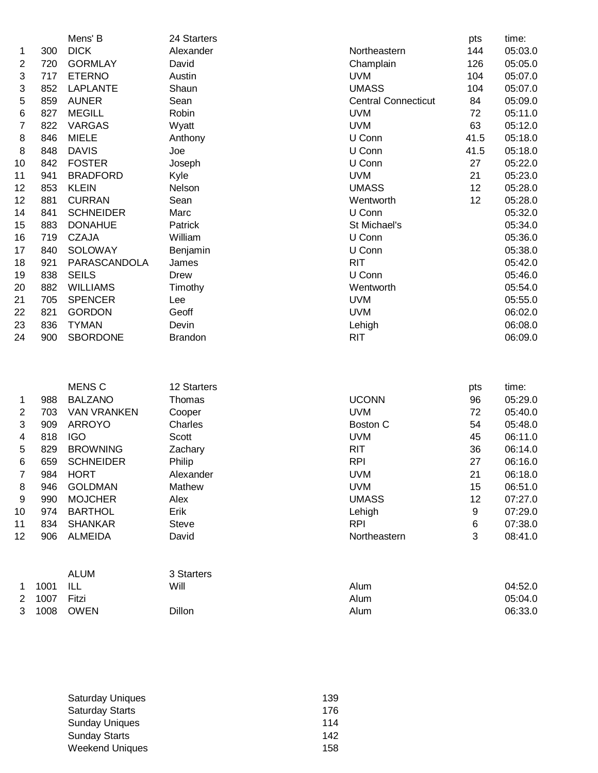|                |      | Mens' B            | 24 Starters    |                            | pts       | time:   |
|----------------|------|--------------------|----------------|----------------------------|-----------|---------|
| 1              | 300  | <b>DICK</b>        | Alexander      | Northeastern               | 144       | 05:03.0 |
| 2              | 720  | <b>GORMLAY</b>     | David          | Champlain                  | 126       | 05:05.0 |
| 3              | 717  | <b>ETERNO</b>      | Austin         | <b>UVM</b>                 | 104       | 05:07.0 |
| 3              | 852  | <b>LAPLANTE</b>    | Shaun          | <b>UMASS</b>               | 104       | 05:07.0 |
| 5              | 859  | <b>AUNER</b>       | Sean           | <b>Central Connecticut</b> | 84        | 05:09.0 |
| 6              | 827  | <b>MEGILL</b>      | Robin          | <b>UVM</b>                 | 72        | 05:11.0 |
| 7              | 822  | <b>VARGAS</b>      | Wyatt          | <b>UVM</b>                 | 63        | 05:12.0 |
| 8              | 846  | <b>MIELE</b>       | Anthony        | U Conn                     | 41.5      | 05:18.0 |
| 8              | 848  | <b>DAVIS</b>       | Joe            | U Conn                     | 41.5      | 05:18.0 |
| 10             | 842  | <b>FOSTER</b>      | Joseph         | U Conn                     | 27        | 05:22.0 |
| 11             | 941  | <b>BRADFORD</b>    | Kyle           | <b>UVM</b>                 | 21        | 05:23.0 |
| 12             | 853  | <b>KLEIN</b>       | Nelson         | <b>UMASS</b>               | 12        | 05:28.0 |
| 12             | 881  | <b>CURRAN</b>      | Sean           | Wentworth                  | 12        | 05:28.0 |
| 14             | 841  | <b>SCHNEIDER</b>   | Marc           | U Conn                     |           | 05:32.0 |
| 15             | 883  | <b>DONAHUE</b>     | Patrick        | St Michael's               |           | 05:34.0 |
| 16             | 719  | <b>CZAJA</b>       | William        | U Conn                     |           | 05:36.0 |
| 17             | 840  | <b>SOLOWAY</b>     | Benjamin       | U Conn                     |           | 05:38.0 |
| 18             | 921  | PARASCANDOLA       | James          | <b>RIT</b>                 |           | 05:42.0 |
| 19             | 838  | <b>SEILS</b>       | <b>Drew</b>    | U Conn                     |           | 05:46.0 |
| 20             | 882  | <b>WILLIAMS</b>    | Timothy        | Wentworth                  |           | 05:54.0 |
| 21             | 705  | <b>SPENCER</b>     | Lee            | <b>UVM</b>                 |           | 05:55.0 |
| 22             | 821  | <b>GORDON</b>      | Geoff          | <b>UVM</b>                 |           | 06:02.0 |
| 23             | 836  | <b>TYMAN</b>       | Devin          | Lehigh                     |           | 06:08.0 |
| 24             | 900  | <b>SBORDONE</b>    | <b>Brandon</b> | <b>RIT</b>                 |           | 06:09.0 |
|                |      |                    |                |                            |           |         |
|                |      | <b>MENS C</b>      | 12 Starters    |                            |           | time:   |
|                | 988  | <b>BALZANO</b>     | Thomas         | <b>UCONN</b>               | pts<br>96 | 05:29.0 |
| 1<br>2         | 703  | <b>VAN VRANKEN</b> | Cooper         | <b>UVM</b>                 | 72        | 05:40.0 |
| 3              | 909  | <b>ARROYO</b>      | Charles        | <b>Boston C</b>            | 54        | 05:48.0 |
| 4              | 818  | <b>IGO</b>         | <b>Scott</b>   | <b>UVM</b>                 | 45        | 06:11.0 |
| 5              | 829  | <b>BROWNING</b>    | Zachary        | <b>RIT</b>                 | 36        | 06:14.0 |
| 6              | 659  | <b>SCHNEIDER</b>   | Philip         | <b>RPI</b>                 | 27        | 06:16.0 |
| 7              | 984  | <b>HORT</b>        | Alexander      | <b>UVM</b>                 | 21        | 06:18.0 |
| 8              | 946  | <b>GOLDMAN</b>     | Mathew         | <b>UVM</b>                 | 15        | 06:51.0 |
| 9              | 990  | <b>MOJCHER</b>     | Alex           | <b>UMASS</b>               | 12        | 07:27.0 |
| 10             | 974  | <b>BARTHOL</b>     | Erik           | Lehigh                     | 9         | 07:29.0 |
| 11             | 834  | <b>SHANKAR</b>     | <b>Steve</b>   | <b>RPI</b>                 | 6         | 07:38.0 |
| 12             | 906  | <b>ALMEIDA</b>     | David          | Northeastern               | 3         | 08:41.0 |
|                |      |                    |                |                            |           |         |
|                |      | <b>ALUM</b>        | 3 Starters     |                            |           |         |
| 1              | 1001 | ILL                | Will           | Alum                       |           | 04:52.0 |
| $\overline{2}$ | 1007 | Fitzi              |                | Alum                       |           | 05:04.0 |

1008 OWEN Dillon Alum 06:33.0

| <b>Saturday Uniques</b> | 139 |
|-------------------------|-----|
| <b>Saturday Starts</b>  | 176 |
| <b>Sunday Uniques</b>   | 114 |
| <b>Sunday Starts</b>    | 142 |
| <b>Weekend Uniques</b>  | 158 |